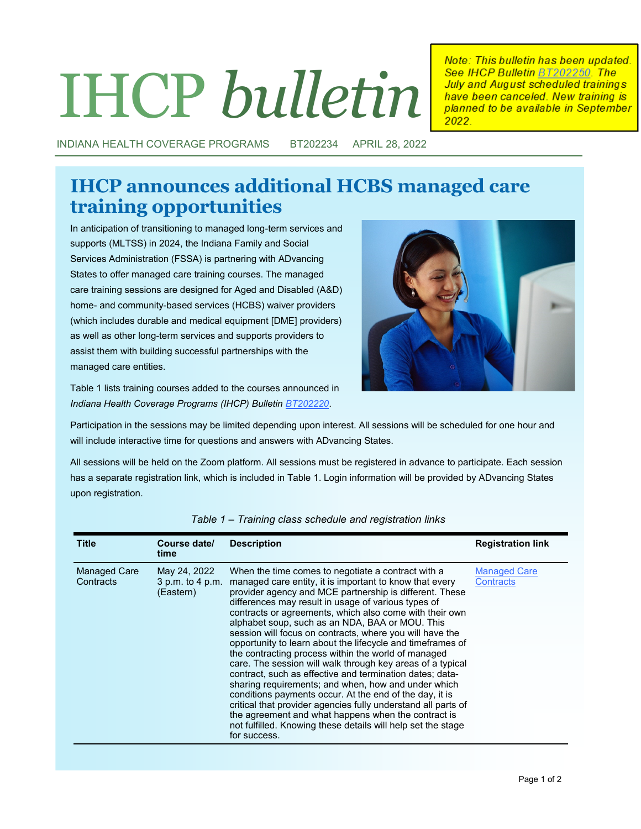# IHCP *bulletin*

Note: This bulletin has been updated. See IHCP Bulletin BT202250. The July and August scheduled trainings have been canceled. New training is planned to be available in September 2022

INDIANA HEALTH COVERAGE PROGRAMS BT202234 APRIL 28, 2022

## **IHCP announces additional HCBS managed care training opportunities**

In anticipation of transitioning to managed long-term services and supports (MLTSS) in 2024, the Indiana Family and Social Services Administration (FSSA) is partnering with ADvancing States to offer managed care training courses. The managed care training sessions are designed for Aged and Disabled (A&D) home- and community-based services (HCBS) waiver providers (which includes durable and medical equipment [DME] providers) as well as other long-term services and supports providers to assist them with building successful partnerships with the managed care entities.



Table 1 lists training courses added to the courses announced in *Indiana Health Coverage Programs (IHCP) Bulletin [BT202220](http://provider.indianamedicaid.com/ihcp/Bulletins/BT202220.pdf)*.

Participation in the sessions may be limited depending upon interest. All sessions will be scheduled for one hour and will include interactive time for questions and answers with ADvancing States.

All sessions will be held on the Zoom platform. All sessions must be registered in advance to participate. Each session has a separate registration link, which is included in Table 1. Login information will be provided by ADvancing States upon registration.

| <b>Title</b>              | Course date/<br>time                          | <b>Description</b>                                                                                                                                                                                                                                                                                                                                                                                                                                                                                                                                                                                                                                                                                                                                                                                                                                                                                                                                                                 | <b>Registration link</b>                |
|---------------------------|-----------------------------------------------|------------------------------------------------------------------------------------------------------------------------------------------------------------------------------------------------------------------------------------------------------------------------------------------------------------------------------------------------------------------------------------------------------------------------------------------------------------------------------------------------------------------------------------------------------------------------------------------------------------------------------------------------------------------------------------------------------------------------------------------------------------------------------------------------------------------------------------------------------------------------------------------------------------------------------------------------------------------------------------|-----------------------------------------|
| Managed Care<br>Contracts | May 24, 2022<br>3 p.m. to 4 p.m.<br>(Eastern) | When the time comes to negotiate a contract with a<br>managed care entity, it is important to know that every<br>provider agency and MCE partnership is different. These<br>differences may result in usage of various types of<br>contracts or agreements, which also come with their own<br>alphabet soup, such as an NDA, BAA or MOU. This<br>session will focus on contracts, where you will have the<br>opportunity to learn about the lifecycle and timeframes of<br>the contracting process within the world of managed<br>care. The session will walk through key areas of a typical<br>contract, such as effective and termination dates; data-<br>sharing requirements; and when, how and under which<br>conditions payments occur. At the end of the day, it is<br>critical that provider agencies fully understand all parts of<br>the agreement and what happens when the contract is<br>not fulfilled. Knowing these details will help set the stage<br>for success. | <b>Managed Care</b><br><b>Contracts</b> |

*Table 1 – Training class schedule and registration links*